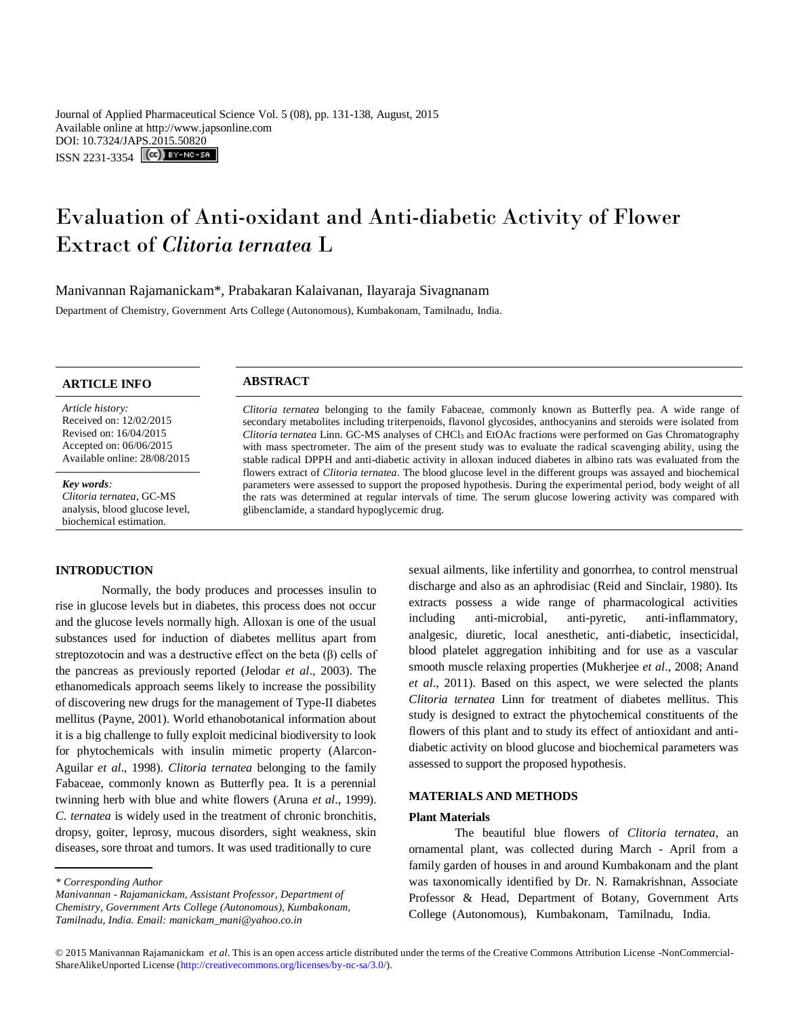Journal of Applied Pharmaceutical Science Vol. 5 (08), pp. 131-138, August, 2015 Available online at http://www.japsonline.com DOI: 10.7324/JAPS.2015.50820 ISSN 2231-3354 **(cc)** BY-NO-58

# Evaluation of Anti-oxidant and Anti-diabetic Activity of Flower Extract of *Clitoria ternatea* L

Manivannan Rajamanickam\*, Prabakaran Kalaivanan, Ilayaraja Sivagnanam

Department of Chemistry, Government Arts College (Autonomous), Kumbakonam, Tamilnadu, India.

*Article history:* Received on: 12/02/2015 Revised on: 16/04/2015 Accepted on: 06/06/2015 Available online: 28/08/2015

*Key words: Clitoria ternatea*, GC-MS analysis, blood glucose level, biochemical estimation.

## **INTRODUCTION**

Normally, the body produces and processes insulin to rise in glucose levels but in diabetes, this process does not occur and the glucose levels normally high. Alloxan is one of the usual substances used for induction of diabetes mellitus apart from streptozotocin and was a destructive effect on the beta (β) cells of the pancreas as previously reported (Jelodar *et al*., 2003). The ethanomedicals approach seems likely to increase the possibility of discovering new drugs for the management of Type-II diabetes mellitus (Payne, 2001). World ethanobotanical information about it is a big challenge to fully exploit medicinal biodiversity to look for phytochemicals with insulin mimetic property (Alarcon-Aguilar *et al*., 1998). *Clitoria ternatea* belonging to the family [Fabaceae,](http://en.wikipedia.org/wiki/Fabaceae) commonly known as Butterfly pea. It is a perennial twinning herb with blue and white flowers (Aruna *et al*., 1999). *C. ternatea* is widely used in the treatment of chronic bronchitis, dropsy, goiter, leprosy, mucous disorders, sight weakness, skin diseases, sore throat and tumors. It was used traditionally to cure

*\* Corresponding Author*

*Manivannan - Rajamanickam, Assistant Professor, Department of Chemistry, Government Arts College (Autonomous), Kumbakonam, Tamilnadu, India. Email: manickam\_mani@yahoo.co.in*

# **ARTICLE INFO ABSTRACT**

*Clitoria ternatea* belonging to the family [Fabaceae,](http://en.wikipedia.org/wiki/Fabaceae) commonly known as Butterfly pea. A wide range of secondary metabolites including triterpenoids, flavonol glycosides, anthocyanins and steroids were isolated from *Clitoria ternatea* Linn. GC-MS analyses of CHCl<sup>3</sup> and EtOAc fractions were performed on Gas Chromatography with mass spectrometer. The aim of the present study was to evaluate the radical scavenging ability, using the stable radical DPPH and anti-diabetic activity in alloxan induced diabetes in albino rats was evaluated from the flowers extract of *Clitoria ternatea*. The blood glucose level in the different groups was assayed and biochemical parameters were assessed to support the proposed hypothesis. During the experimental period, body weight of all the rats was determined at regular intervals of time. The serum glucose lowering activity was compared with glibenclamide, a standard hypoglycemic drug.

> sexual ailments, like infertility and gonorrhea, to control menstrual discharge and also as an aphrodisiac (Reid and Sinclair, 1980). Its extracts possess a wide range of pharmacological activities including anti-microbial, anti-pyretic, anti-inflammatory, analgesic, diuretic, local anesthetic, anti-diabetic, insecticidal, blood platelet aggregation inhibiting and for use as a vascular smooth muscle relaxing properties (Mukherjee *et al*., 2008; Anand *et al*., 2011). Based on this aspect, we were selected the plants *Clitoria ternatea* Linn for treatment of diabetes mellitus. This study is designed to extract the phytochemical constituents of the flowers of this plant and to study its effect of antioxidant and antidiabetic activity on blood glucose and biochemical parameters was assessed to support the proposed hypothesis.

# **MATERIALS AND METHODS**

#### **Plant Materials**

The beautiful blue flowers of *Clitoria ternatea*, an ornamental plant, was collected during March - April from a family garden of houses in and around Kumbakonam and the plant was taxonomically identified by Dr. N. Ramakrishnan, Associate Professor & Head, Department of Botany, Government Arts College (Autonomous), Kumbakonam, Tamilnadu, India.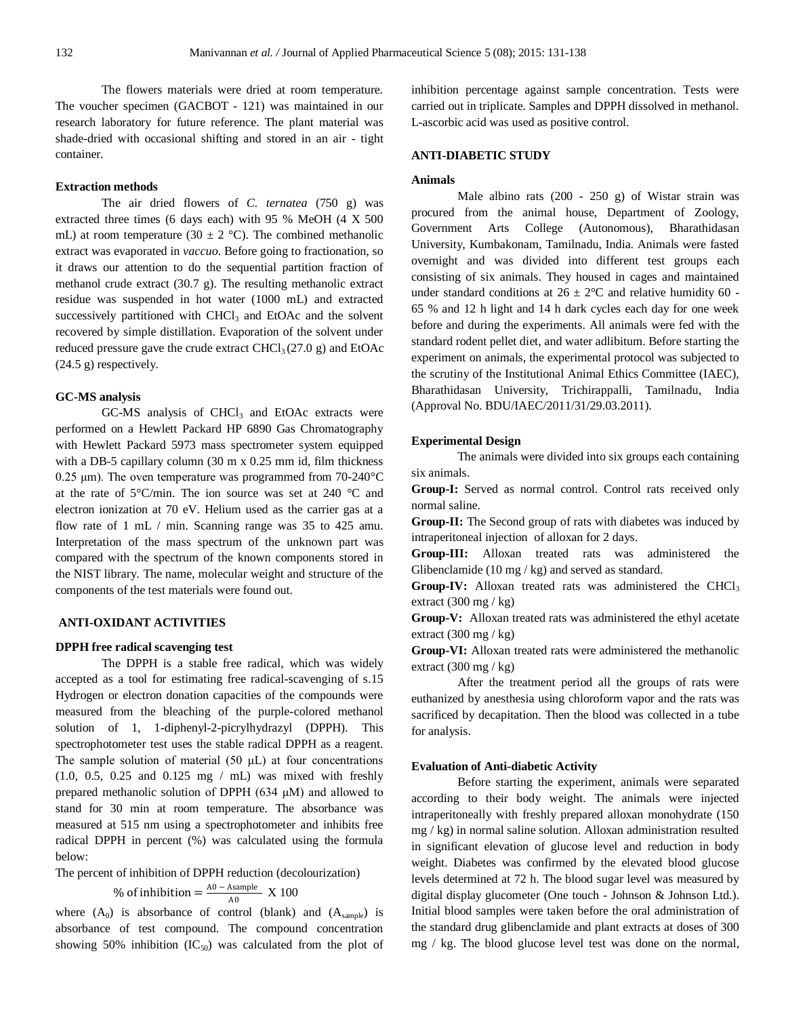The flowers materials were dried at room temperature. The voucher specimen (GACBOT - 121) was maintained in our research laboratory for future reference. The plant material was shade-dried with occasional shifting and stored in an air - tight container.

#### **Extraction methods**

The air dried flowers of *C. ternatea* (750 g) was extracted three times (6 days each) with 95 % MeOH (4 X 500 mL) at room temperature (30  $\pm$  2 °C). The combined methanolic extract was evaporated in *vaccuo*. Before going to fractionation, so it draws our attention to do the sequential partition fraction of methanol crude extract (30.7 g). The resulting methanolic extract residue was suspended in hot water (1000 mL) and extracted successively partitioned with  $CHCl<sub>3</sub>$  and  $EtOAc$  and the solvent recovered by simple distillation. Evaporation of the solvent under reduced pressure gave the crude extract  $CHCl<sub>3</sub>(27.0 g)$  and EtOAc (24.5 g) respectively.

# **GC-MS analysis**

 $GC-MS$  analysis of  $CHCl<sub>3</sub>$  and  $EtOAc$  extracts were performed on a Hewlett Packard HP 6890 Gas Chromatography with Hewlett Packard 5973 mass spectrometer system equipped with a DB-5 capillary column (30 m x 0.25 mm id, film thickness 0.25 μm). The oven temperature was programmed from 70-240°C at the rate of 5°C/min. The ion source was set at 240 °C and electron ionization at 70 eV. Helium used as the carrier gas at a flow rate of 1 mL / min. Scanning range was 35 to 425 amu. Interpretation of the mass spectrum of the unknown part was compared with the spectrum of the known components stored in the NIST library. The name, molecular weight and structure of the components of the test materials were found out.

# **ANTI-OXIDANT ACTIVITIES**

#### **DPPH free radical scavenging test**

The DPPH is a stable free radical, which was widely accepted as a tool for estimating free radical-scavenging of s.15 Hydrogen or electron donation capacities of the compounds were measured from the bleaching of the purple-colored methanol solution of 1, 1-diphenyl-2-picrylhydrazyl (DPPH). This spectrophotometer test uses the stable radical DPPH as a reagent. The sample solution of material  $(50 \mu L)$  at four concentrations (1.0, 0.5, 0.25 and 0.125 mg / mL) was mixed with freshly prepared methanolic solution of DPPH  $(634 \mu M)$  and allowed to stand for 30 min at room temperature. The absorbance was measured at 515 nm using a spectrophotometer and inhibits free radical DPPH in percent (%) was calculated using the formula below:

The percent of inhibition of DPPH reduction (decolourization) % of inhibition  $=$   $\frac{A0 - A\text{sample}}{A0}$  $\frac{\text{Assimple}}{\text{A0}}$  X 100

where  $(A_0)$  is absorbance of control (blank) and  $(A_{sample})$  is absorbance of test compound. The compound concentration showing 50% inhibition  $(IC_{50})$  was calculated from the plot of inhibition percentage against sample concentration. Tests were carried out in triplicate. Samples and DPPH dissolved in methanol. L-ascorbic acid was used as positive control.

# **ANTI-DIABETIC STUDY**

#### **Animals**

Male albino rats (200 - 250 g) of Wistar strain was procured from the animal house, Department of Zoology, Government Arts College (Autonomous), Bharathidasan University, Kumbakonam, Tamilnadu, India. Animals were fasted overnight and was divided into different test groups each consisting of six animals. They housed in cages and maintained under standard conditions at  $26 \pm 2^{\circ}$ C and relative humidity 60 -65 % and 12 h light and 14 h dark cycles each day for one week before and during the experiments. All animals were fed with the standard rodent pellet diet, and water adlibitum. Before starting the experiment on animals, the experimental protocol was subjected to the scrutiny of the Institutional Animal Ethics Committee (IAEC), Bharathidasan University, Trichirappalli, Tamilnadu, India (Approval No. BDU/IAEC/2011/31/29.03.2011).

#### **Experimental Design**

The animals were divided into six groups each containing six animals.

**Group-I:** Served as normal control. Control rats received only normal saline.

**Group-II:** The Second group of rats with diabetes was induced by intraperitoneal injection of alloxan for 2 days.

**Group-III:** Alloxan treated rats was administered the Glibenclamide (10 mg / kg) and served as standard.

Group-IV: Alloxan treated rats was administered the CHCl<sub>3</sub> extract  $(300 \text{ mg} / \text{kg})$ 

**Group-V:** Alloxan treated rats was administered the ethyl acetate extract  $(300 \text{ mg} / \text{kg})$ 

**Group-VI:** Alloxan treated rats were administered the methanolic extract  $(300 \text{ mg} / \text{kg})$ 

After the treatment period all the groups of rats were euthanized by anesthesia using chloroform vapor and the rats was sacrificed by decapitation. Then the blood was collected in a tube for analysis.

# **Evaluation of Anti-diabetic Activity**

Before starting the experiment, animals were separated according to their body weight. The animals were injected intraperitoneally with freshly prepared alloxan monohydrate (150 mg / kg) in normal saline solution. Alloxan administration resulted in significant elevation of glucose level and reduction in body weight. Diabetes was confirmed by the elevated blood glucose levels determined at 72 h. The blood sugar level was measured by digital display glucometer (One touch - Johnson & Johnson Ltd.). Initial blood samples were taken before the oral administration of the standard drug glibenclamide and plant extracts at doses of 300 mg / kg. The blood glucose level test was done on the normal,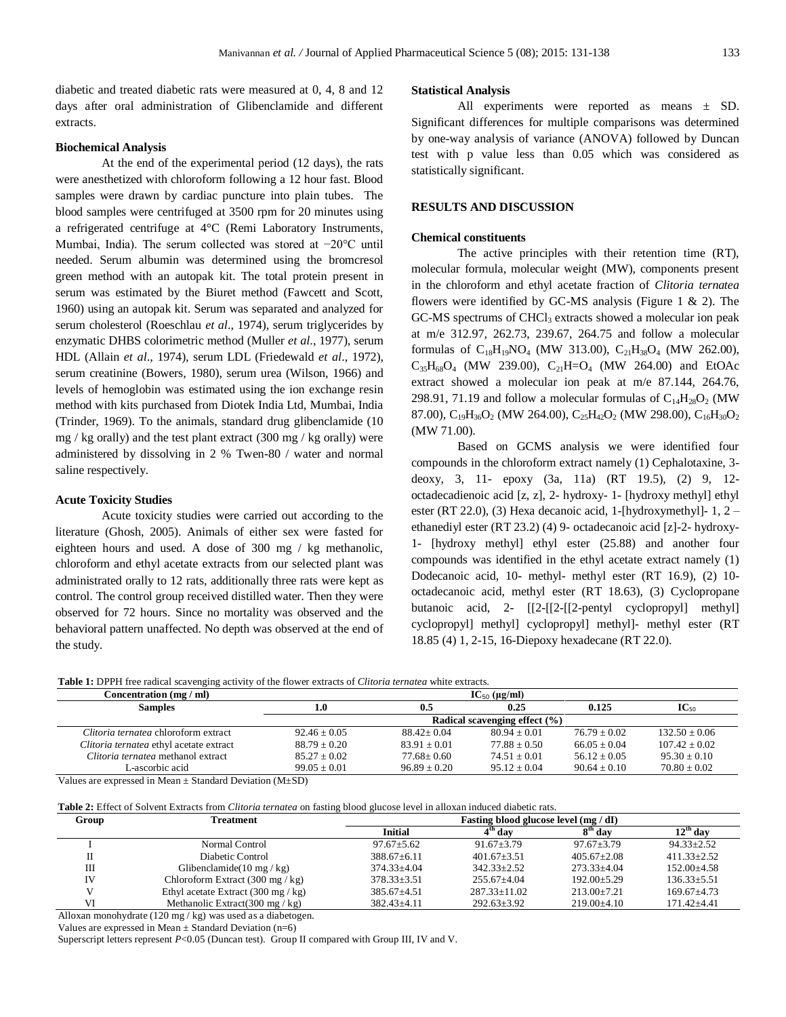diabetic and treated diabetic rats were measured at 0, 4, 8 and 12 days after oral administration of Glibenclamide and different extracts.

### **Biochemical Analysis**

At the end of the experimental period (12 days), the rats were anesthetized with chloroform following a 12 hour fast. Blood samples were drawn by cardiac puncture into plain tubes. The blood samples were centrifuged at 3500 rpm for 20 minutes using a refrigerated centrifuge at 4°C (Remi Laboratory Instruments, Mumbai, India). The serum collected was stored at −20°C until needed. Serum albumin was determined using the bromcresol green method with an autopak kit. The total protein present in serum was estimated by the Biuret method (Fawcett and Scott, 1960) using an autopak kit. Serum was separated and analyzed for serum cholesterol (Roeschlau *et al*., 1974), serum triglycerides by enzymatic DHBS colorimetric method (Muller *et al*., 1977), serum HDL (Allain *et al*., 1974), serum LDL (Friedewald *et al*., 1972), serum creatinine (Bowers, 1980), serum urea (Wilson, 1966) and levels of hemoglobin was estimated using the ion exchange resin method with kits purchased from Diotek India Ltd, Mumbai, India (Trinder, 1969). To the animals, standard drug glibenclamide (10 mg / kg orally) and the test plant extract  $(300 \text{ mg} / \text{kg} \text{ orally})$  were administered by dissolving in 2 % Twen-80 / water and normal saline respectively.

## **Acute Toxicity Studies**

Acute toxicity studies were carried out according to the literature (Ghosh, 2005). Animals of either sex were fasted for eighteen hours and used. A dose of 300 mg / kg methanolic, chloroform and ethyl acetate extracts from our selected plant was administrated orally to 12 rats, additionally three rats were kept as control. The control group received distilled water. Then they were observed for 72 hours. Since no mortality was observed and the behavioral pattern unaffected. No depth was observed at the end of the study.

#### **Statistical Analysis**

All experiments were reported as means ± SD. Significant differences for multiple comparisons was determined by one-way analysis of variance (ANOVA) followed by Duncan test with p value less than 0.05 which was considered as statistically significant.

# **RESULTS AND DISCUSSION**

#### **Chemical constituents**

The active principles with their retention time (RT), molecular formula, molecular weight (MW), components present in the chloroform and ethyl acetate fraction of *Clitoria ternatea* flowers were identified by GC-MS analysis (Figure 1 & 2). The GC-MS spectrums of CHCl<sub>3</sub> extracts showed a molecular ion peak at m/e 312.97, 262.73, 239.67, 264.75 and follow a molecular formulas of  $C_{18}H_{19}NO_4$  (MW 313.00),  $C_{21}H_{38}O_4$  (MW 262.00),  $C_{35}H_{68}O_4$  (MW 239.00),  $C_{21}H=O_4$  (MW 264.00) and EtOAc extract showed a molecular ion peak at m/e 87.144, 264.76, 298.91, 71.19 and follow a molecular formulas of  $C_{14}H_{28}O_2$  (MW 87.00),  $C_{19}H_{36}O_2$  (MW 264.00),  $C_{25}H_{42}O_2$  (MW 298.00),  $C_{16}H_{30}O_2$ (MW 71.00).

Based on GCMS analysis we were identified four compounds in the chloroform extract namely (1) Cephalotaxine, 3 deoxy, 3, 11- epoxy (3a, 11a) (RT 19.5), (2) 9, 12 octadecadienoic acid [z, z], 2- hydroxy- 1- [hydroxy methyl] ethyl ester (RT 22.0), (3) Hexa decanoic acid, 1-[hydroxymethyl]- 1, 2 – ethanediyl ester (RT 23.2) (4) 9- octadecanoic acid [z]-2- hydroxy-1- [hydroxy methyl] ethyl ester (25.88) and another four compounds was identified in the ethyl acetate extract namely (1) Dodecanoic acid, 10- methyl- methyl ester (RT 16.9), (2) 10 octadecanoic acid, methyl ester (RT 18.63), (3) Cyclopropane butanoic acid, 2- [[2-[[2-[[2-pentyl cyclopropyl] methyl] cyclopropyl] methyl] cyclopropyl] methyl]- methyl ester (RT 18.85 (4) 1, 2-15, 16-Diepoxy hexadecane (RT 22.0).

**Table 1:** DPPH free radical scavenging activity of the flower extracts of *Clitoria ternatea* white extracts.

| Concentration (mg / ml)                 | $IC_{50}$ (µg/ml)                 |                   |                |                |                  |  |
|-----------------------------------------|-----------------------------------|-------------------|----------------|----------------|------------------|--|
| <b>Samples</b>                          | 1.0                               | 0.5               | 0.25           | 0.125          | $IC_{50}$        |  |
|                                         | Radical scavenging effect $(\% )$ |                   |                |                |                  |  |
| Clitoria ternatea chloroform extract    | $92.46 + 0.05$                    | $88.42 \div 0.04$ | $80.94 + 0.01$ | $76.79 + 0.02$ | $132.50 + 0.06$  |  |
| Clitoria ternatea ethyl acetate extract | $88.79 + 0.20$                    | $83.91 + 0.01$    | $77.88 + 0.50$ | $66.05 + 0.04$ | $107.42 + 0.02$  |  |
| Clitoria ternatea methanol extract      | $85.27 + 0.02$                    | $77.68 + 0.60$    | $74.51 + 0.01$ | $56.12 + 0.05$ | $95.30 + 0.10$   |  |
| L-ascorbic acid                         | $99.05 + 0.01$                    | $96.89 + 0.20$    | $95.12 + 0.04$ | $90.64 + 0.10$ | $70.80 \pm 0.02$ |  |

Values are expressed in Mean  $\pm$  Standard Deviation (M $\pm$ SD)

**Table 2:** Effect of Solvent Extracts from *Clitoria ternatea* on fasting blood glucose level in alloxan induced diabetic rats.

| Group | <b>Treatment</b>                                     | Fasting blood glucose level (mg / dI) |                       |                   |                      |  |
|-------|------------------------------------------------------|---------------------------------------|-----------------------|-------------------|----------------------|--|
|       |                                                      | <b>Initial</b>                        | $4^{\mathrm{th}}$ day | $8th$ day         | $12^{\text{th}}$ day |  |
|       | Normal Control                                       | $97.67 + 5.62$                        | $91.67 + 3.79$        | $97.67 + 3.79$    | $94.33 \pm 2.52$     |  |
|       | Diabetic Control                                     | $388.67 + 6.11$                       | $401.67 + 3.51$       | $405.67+2.08$     | $411.33 \pm 2.52$    |  |
| Ш     | Glibenclamide(10 mg/kg)                              | $374.33 + 4.04$                       | $342.33 + 2.52$       | $273.33 + 4.04$   | $152.00\pm4.58$      |  |
| IV    | Chloroform Extract $(300 \text{ mg}/\text{kg})$      | $378.33 \pm 3.51$                     | $255.67+4.04$         | $192.00 + 5.29$   | $136.33 \pm 5.51$    |  |
|       | Ethyl acetate Extract $(300 \text{ mg} / \text{kg})$ | $385.67 \pm 4.51$                     | $287.33 \pm 11.02$    | $213.00+7.21$     | $169.67 + 4.73$      |  |
| VI    | Methanolic Extract(300 mg/ $kg$ )                    | $382.43 \pm 4.11$                     | $292.63 \pm 3.92$     | $219.00 \pm 4.10$ | $171.42 \pm 4.41$    |  |

Alloxan monohydrate (120 mg / kg) was used as a diabetogen.

Values are expressed in Mean  $\pm$  Standard Deviation (n=6)

Superscript letters represent *P*<0.05 (Duncan test). Group II compared with Group III, IV and V.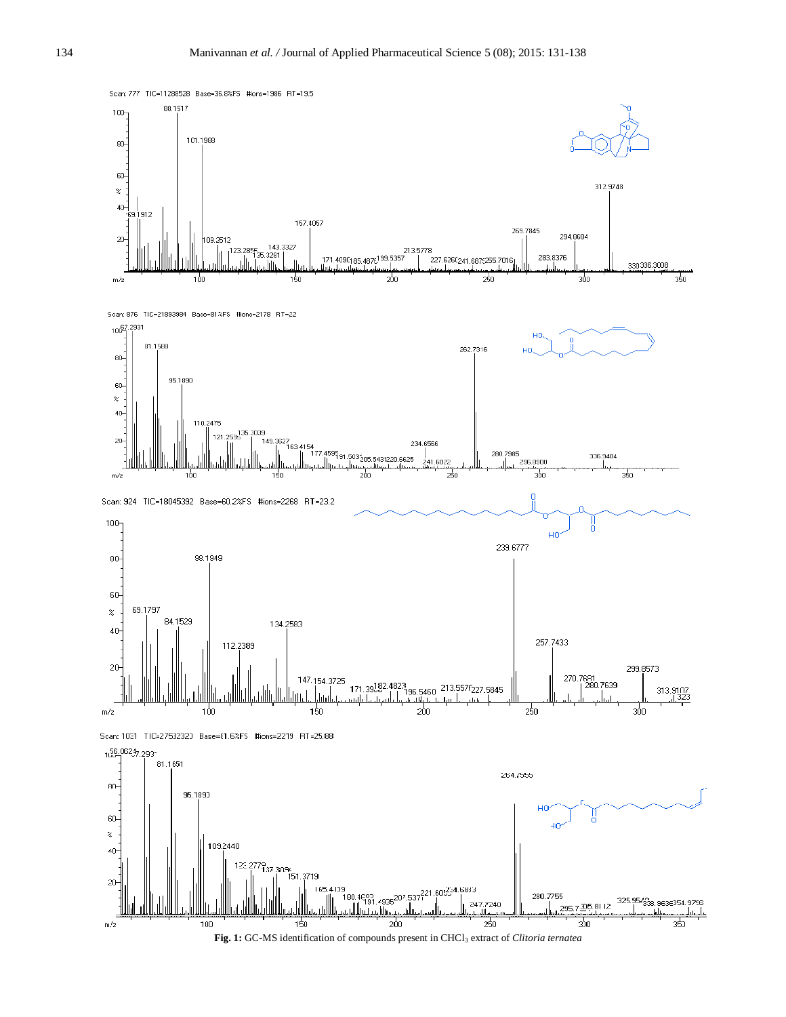

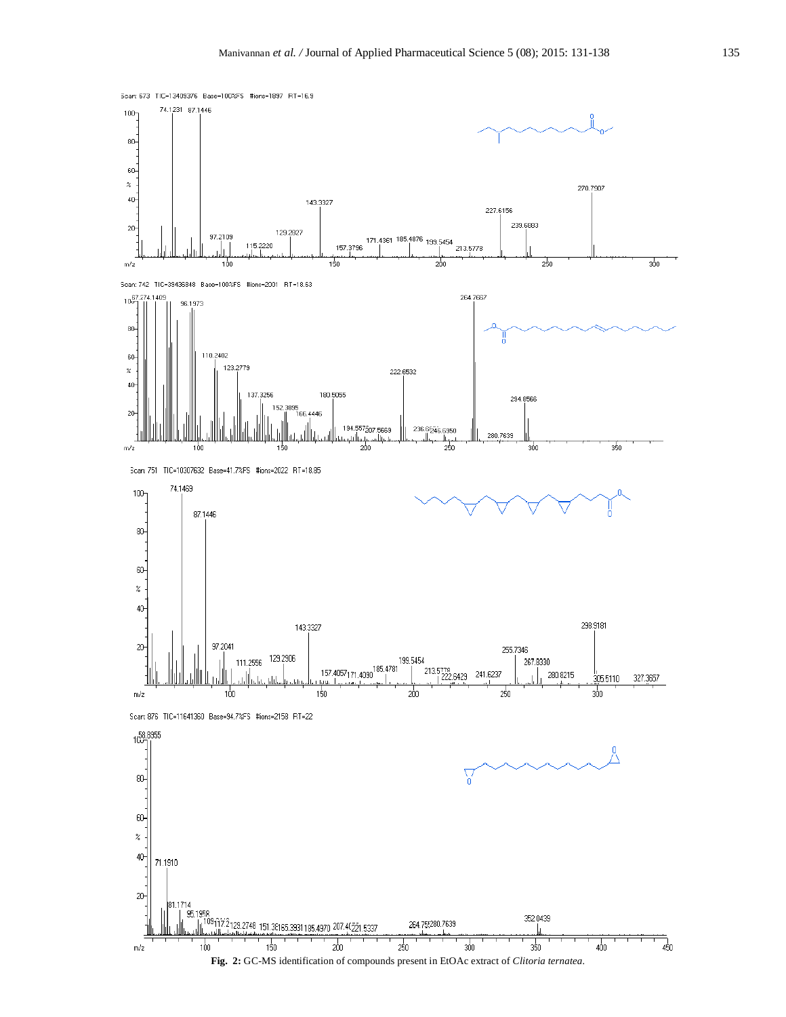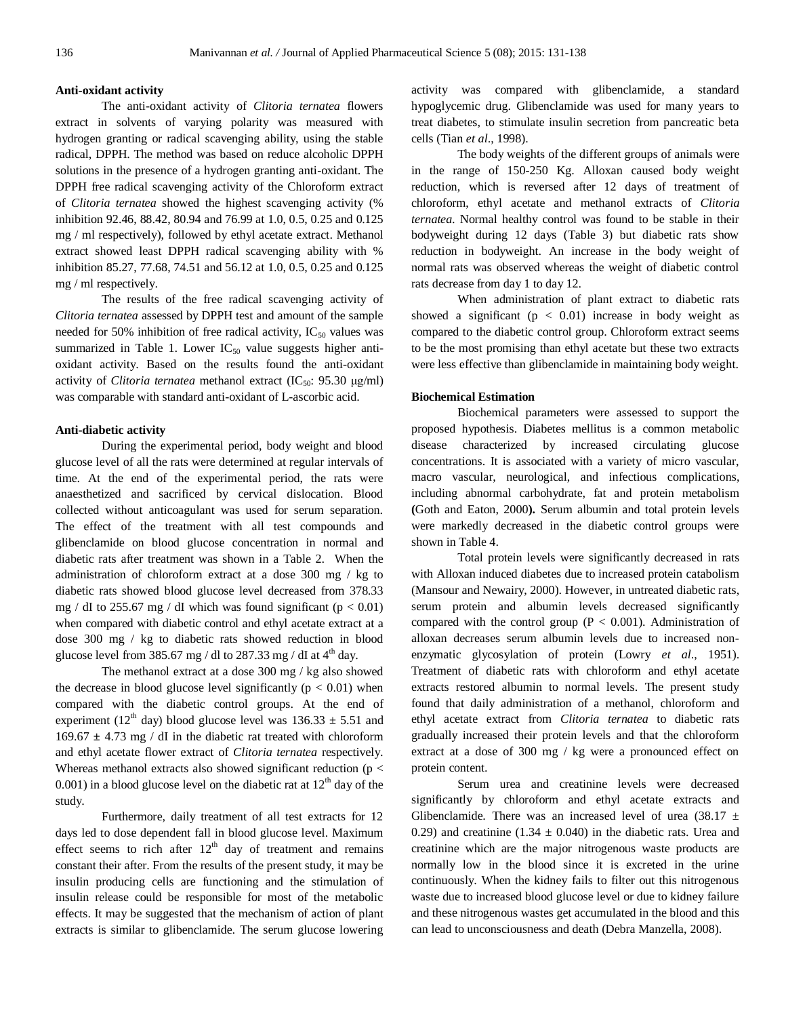#### **Anti-oxidant activity**

The anti-oxidant activity of *Clitoria ternatea* flowers extract in solvents of varying polarity was measured with hydrogen granting or radical scavenging ability, using the stable radical, DPPH. The method was based on reduce alcoholic DPPH solutions in the presence of a hydrogen granting anti-oxidant. The DPPH free radical scavenging activity of the Chloroform extract of *Clitoria ternatea* showed the highest scavenging activity (% inhibition 92.46, 88.42, 80.94 and 76.99 at 1.0, 0.5, 0.25 and 0.125 mg / ml respectively), followed by ethyl acetate extract. Methanol extract showed least DPPH radical scavenging ability with % inhibition 85.27, 77.68, 74.51 and 56.12 at 1.0, 0.5, 0.25 and 0.125 mg / ml respectively.

The results of the free radical scavenging activity of *Clitoria ternatea* assessed by DPPH test and amount of the sample needed for 50% inhibition of free radical activity,  $IC_{50}$  values was summarized in Table 1. Lower  $IC_{50}$  value suggests higher antioxidant activity. Based on the results found the anti-oxidant activity of *Clitoria ternatea* methanol extract (IC<sub>50</sub>: 95.30 μg/ml) was comparable with standard anti-oxidant of L-ascorbic acid.

#### **Anti-diabetic activity**

During the experimental period, body weight and blood glucose level of all the rats were determined at regular intervals of time. At the end of the experimental period, the rats were anaesthetized and sacrificed by cervical dislocation. Blood collected without anticoagulant was used for serum separation. The effect of the treatment with all test compounds and glibenclamide on blood glucose concentration in normal and diabetic rats after treatment was shown in a Table 2. When the administration of chloroform extract at a dose 300 mg / kg to diabetic rats showed blood glucose level decreased from 378.33 mg / dI to 255.67 mg / dI which was found significant ( $p < 0.01$ ) when compared with diabetic control and ethyl acetate extract at a dose 300 mg / kg to diabetic rats showed reduction in blood glucose level from 385.67 mg / dl to 287.33 mg / dI at  $4<sup>th</sup>$  day.

The methanol extract at a dose 300 mg / kg also showed the decrease in blood glucose level significantly ( $p < 0.01$ ) when compared with the diabetic control groups. At the end of experiment (12<sup>th</sup> day) blood glucose level was  $136.33 \pm 5.51$  and 169.67 **±** 4.73 mg / dI in the diabetic rat treated with chloroform and ethyl acetate flower extract of *Clitoria ternatea* respectively. Whereas methanol extracts also showed significant reduction (p < 0.001) in a blood glucose level on the diabetic rat at  $12<sup>th</sup>$  day of the study.

Furthermore, daily treatment of all test extracts for 12 days led to dose dependent fall in blood glucose level. Maximum effect seems to rich after  $12<sup>th</sup>$  day of treatment and remains constant their after. From the results of the present study, it may be insulin producing cells are functioning and the stimulation of insulin release could be responsible for most of the metabolic effects. It may be suggested that the mechanism of action of plant extracts is similar to glibenclamide. The serum glucose lowering activity was compared with glibenclamide, a standard hypoglycemic drug. Glibenclamide was used for many years to treat diabetes, to stimulate insulin secretion from pancreatic beta cells (Tian *et al*., 1998).

The body weights of the different groups of animals were in the range of 150-250 Kg. Alloxan caused body weight reduction, which is reversed after 12 days of treatment of chloroform, ethyl acetate and methanol extracts of *Clitoria ternatea.* Normal healthy control was found to be stable in their bodyweight during 12 days (Table 3) but diabetic rats show reduction in bodyweight. An increase in the body weight of normal rats was observed whereas the weight of diabetic control rats decrease from day 1 to day 12.

When administration of plant extract to diabetic rats showed a significant ( $p < 0.01$ ) increase in body weight as compared to the diabetic control group. Chloroform extract seems to be the most promising than ethyl acetate but these two extracts were less effective than glibenclamide in maintaining body weight.

# **Biochemical Estimation**

Biochemical parameters were assessed to support the proposed hypothesis. Diabetes mellitus is a common metabolic disease characterized by increased circulating glucose concentrations. It is associated with a variety of micro vascular, macro vascular, neurological, and infectious complications, including abnormal carbohydrate, fat and protein metabolism **(**Goth and Eaton, 2000**).** Serum albumin and total protein levels were markedly decreased in the diabetic control groups were shown in Table 4.

Total protein levels were significantly decreased in rats with Alloxan induced diabetes due to increased protein catabolism (Mansour and Newairy, 2000). However, in untreated diabetic rats, serum protein and albumin levels decreased significantly compared with the control group ( $P < 0.001$ ). Administration of alloxan decreases serum albumin levels due to increased nonenzymatic glycosylation of protein (Lowry *et al*., 1951). Treatment of diabetic rats with chloroform and ethyl acetate extracts restored albumin to normal levels. The present study found that daily administration of a methanol, chloroform and ethyl acetate extract from *Clitoria ternatea* to diabetic rats gradually increased their protein levels and that the chloroform extract at a dose of 300 mg / kg were a pronounced effect on protein content.

Serum urea and creatinine levels were decreased significantly by chloroform and ethyl acetate extracts and Glibenclamide. There was an increased level of urea (38.17  $\pm$ 0.29) and creatinine (1.34  $\pm$  0.040) in the diabetic rats. Urea and creatinine which are the major nitrogenous waste products are normally low in the blood since it is excreted in the urine continuously. When the kidney fails to filter out this nitrogenous waste due to increased blood glucose level or due to kidney failure and these nitrogenous wastes get accumulated in the blood and this can lead to unconsciousness and death (Debra Manzella, 2008).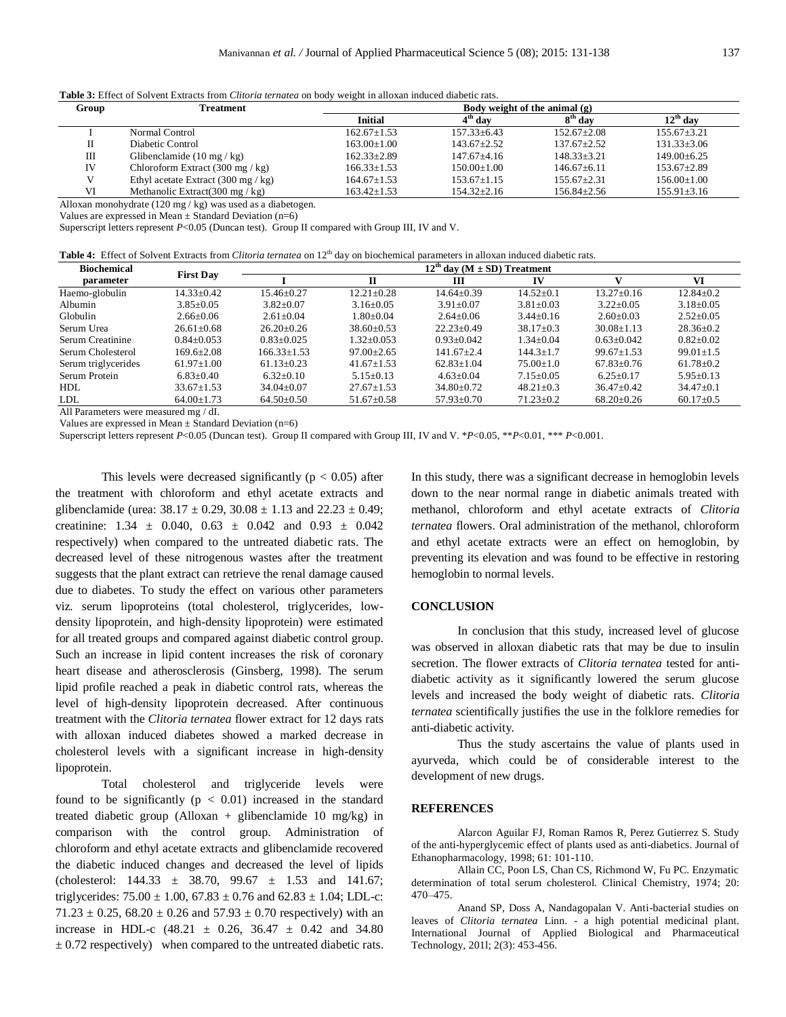**Table 3:** Effect of Solvent Extracts from *Clitoria ternatea* on body weight in alloxan induced diabetic rats.

| Group | Treatment                                            | Body weight of the animal $(g)$ |                       |                   |                      |  |
|-------|------------------------------------------------------|---------------------------------|-----------------------|-------------------|----------------------|--|
|       |                                                      | Initial                         | $4^{\mathrm{th}}$ day | $8th$ day         | $12^{\text{th}}$ dav |  |
|       | Normal Control                                       | $162.67+1.53$                   | $157.33 \pm 6.43$     | $152.67+2.08$     | $155.67 + 3.21$      |  |
|       | Diabetic Control                                     | $163.00 \pm 1.00$               | $143.67 + 2.52$       | $137.67 + 2.52$   | $131.33 \pm 3.06$    |  |
| Ш     | Glibenclamide $(10 \text{ mg}/ \text{kg})$           | $162.33 \pm 2.89$               | $147.67 + 4.16$       | $148.33 \pm 3.21$ | $149.00 + 6.25$      |  |
| IV    | Chloroform Extract $(300 \text{ mg} / \text{kg})$    | $166.33 \pm 1.53$               | $150.00 \pm 1.00$     | $146.67 + 6.11$   | $153.67 \pm 2.89$    |  |
|       | Ethyl acetate Extract $(300 \text{ mg} / \text{kg})$ | $164.67 \pm 1.53$               | $153.67+1.15$         | $155.67 + 2.31$   | $156.00 \pm 1.00$    |  |
| VI    | Methanolic Extract(300 mg / $kg$ )                   | $163.42 \pm 1.53$               | $154.32 \pm 2.16$     | $156.84 \pm 2.56$ | $155.91 \pm 3.16$    |  |
|       |                                                      |                                 |                       |                   |                      |  |

Alloxan monohydrate (120 mg / kg) was used as a diabetogen.

Values are expressed in Mean  $\pm$  Standard Deviation (n=6)

Superscript letters represent  $P<0.05$  (Duncan test). Group II compared with Group III, IV and V.

| <b>Table 4:</b> Effect of Solvent Extracts from <i>Clitoria ternatea</i> on 12 <sup>th</sup> day on biochemical parameters in alloxan induced diabetic rats. |
|--------------------------------------------------------------------------------------------------------------------------------------------------------------|
|--------------------------------------------------------------------------------------------------------------------------------------------------------------|

| <b>Biochemical</b><br><b>First Day</b> |                  | $12th$ day (M $\pm$ SD) Treatment |                  |                  |                 |                  |                 |
|----------------------------------------|------------------|-----------------------------------|------------------|------------------|-----------------|------------------|-----------------|
| parameter                              |                  |                                   | П                | ш                | IV              |                  | VI              |
| Haemo-globulin                         | 14.33±0.42       | $15.46 \pm 0.27$                  | $12.21 + 0.28$   | $14.64 + 0.39$   | $14.52+0.1$     | $13.27 + 0.16$   | $12.84 \pm 0.2$ |
| Albumin                                | $3.85 \pm 0.05$  | $3.82 \pm 0.07$                   | $3.16 \pm 0.05$  | $3.91 \pm 0.07$  | $3.81 \pm 0.03$ | $3.22 \pm 0.05$  | $3.18 \pm 0.05$ |
| Globulin                               | $2.66 \pm 0.06$  | $2.61 + 0.04$                     | $0.80 + 0.04$    | $2.64 \pm 0.06$  | $3.44 \pm 0.16$ | $2.60 \pm 0.03$  | $2.52 \pm 0.05$ |
| Serum Urea                             | $26.61 \pm 0.68$ | $26.20 \pm 0.26$                  | $38.60 \pm 0.53$ | $22.23+0.49$     | $38.17 \pm 0.3$ | $30.08 \pm 1.13$ | $28.36 \pm 0.2$ |
| Serum Creatinine                       | $0.84 + 0.053$   | $0.83+0.025$                      | $1.32 + 0.053$   | $0.93+0.042$     | $1.34 \pm 0.04$ | $0.63+0.042$     | $0.82 \pm 0.02$ |
| Serum Cholesterol                      | 169.6±2.08       | $166.33 \pm 1.53$                 | $97.00 \pm 2.65$ | $141.67 \pm 2.4$ | $144.3 \pm 1.7$ | $99.67 \pm 1.53$ | $99.01 \pm 1.5$ |
| Serum triglycerides                    | $61.97 \pm 1.00$ | $61.13 \pm 0.23$                  | $41.67 \pm 1.53$ | $62.83 \pm 1.04$ | $75.00 \pm 1.0$ | $67.83 \pm 0.76$ | $61.78 \pm 0.2$ |
| Serum Protein                          | $6.83 \pm 0.40$  | $6.32 \pm 0.10$                   | $5.15 \pm 0.13$  | $4.63 \pm 0.04$  | $7.15 \pm 0.05$ | $6.25 \pm 0.17$  | $5.95 \pm 0.13$ |
| <b>HDL</b>                             | $33.67 \pm 1.53$ | $34.04 \pm 0.07$                  | $27.67 \pm 1.53$ | $34.80 \pm 0.72$ | $48.21 \pm 0.3$ | $36.47 \pm 0.42$ | $34.47 \pm 0.1$ |
| LDL                                    | $64.00 \pm 1.73$ | $64.50 \pm 0.50$                  | $51.67 \pm 0.58$ | $57.93 \pm 0.70$ | $71.23 \pm 0.2$ | $68.20 \pm 0.26$ | $60.17 \pm 0.5$ |
| .                                      |                  |                                   |                  |                  |                 |                  |                 |

All Parameters were measured mg / dI.

Values are expressed in Mean  $\pm$  Standard Deviation (n=6)

Superscript letters represent *P*<0.05 (Duncan test). Group II compared with Group III, IV and V. \**P*<0.05, \*\**P*<0.01, \*\*\* *P*<0.001.

This levels were decreased significantly ( $p < 0.05$ ) after the treatment with chloroform and ethyl acetate extracts and glibenclamide (urea:  $38.17 \pm 0.29$ ,  $30.08 \pm 1.13$  and  $22.23 \pm 0.49$ ; creatinine:  $1.34 \pm 0.040$ ,  $0.63 \pm 0.042$  and  $0.93 \pm 0.042$ respectively) when compared to the untreated diabetic rats. The decreased level of these nitrogenous wastes after the treatment suggests that the plant extract can retrieve the renal damage caused due to diabetes. To study the effect on various other parameters viz. serum lipoproteins (total cholesterol, triglycerides, lowdensity lipoprotein, and high-density lipoprotein) were estimated for all treated groups and compared against diabetic control group. Such an increase in lipid content increases the risk of coronary heart disease and atherosclerosis (Ginsberg, 1998). The serum lipid profile reached a peak in diabetic control rats, whereas the level of high-density lipoprotein decreased. After continuous treatment with the *Clitoria ternatea* flower extract for 12 days rats with alloxan induced diabetes showed a marked decrease in cholesterol levels with a significant increase in high-density lipoprotein.

Total cholesterol and triglyceride levels were found to be significantly  $(p < 0.01)$  increased in the standard treated diabetic group (Alloxan + glibenclamide 10 mg/kg) in comparison with the control group. Administration of chloroform and ethyl acetate extracts and glibenclamide recovered the diabetic induced changes and decreased the level of lipids (cholesterol:  $144.33 \pm 38.70$ ,  $99.67 \pm 1.53$  and  $141.67$ ; triglycerides:  $75.00 \pm 1.00$ ,  $67.83 \pm 0.76$  and  $62.83 \pm 1.04$ ; LDL-c:  $71.23 \pm 0.25$ , 68.20  $\pm$  0.26 and 57.93  $\pm$  0.70 respectively) with an increase in HDL-c  $(48.21 \pm 0.26, 36.47 \pm 0.42, 30.480)$  $\pm$  0.72 respectively) when compared to the untreated diabetic rats. In this study, there was a significant decrease in hemoglobin levels down to the near normal range in diabetic animals treated with methanol, chloroform and ethyl acetate extracts of *Clitoria ternatea* flowers. Oral administration of the methanol, chloroform and ethyl acetate extracts were an effect on hemoglobin, by preventing its elevation and was found to be effective in restoring hemoglobin to normal levels.

#### **CONCLUSION**

In conclusion that this study, increased level of glucose was observed in alloxan diabetic rats that may be due to insulin secretion. The flower extracts of *Clitoria ternatea* tested for antidiabetic activity as it significantly lowered the serum glucose levels and increased the body weight of diabetic rats. *Clitoria ternatea* scientifically justifies the use in the folklore remedies for anti-diabetic activity.

Thus the study ascertains the value of plants used in ayurveda, which could be of considerable interest to the development of new drugs.

#### **REFERENCES**

Alarcon Aguilar FJ, Roman Ramos R, Perez Gutierrez S. Study of the anti-hyperglycemic effect of plants used as anti-diabetics. Journal of Ethanopharmacology, 1998; 61: 101-110.

Allain CC, Poon LS, Chan CS, Richmond W, Fu PC. Enzymatic determination of total serum cholesterol. Clinical Chemistry, 1974; 20: 470–475.

Anand SP, Doss A, Nandagopalan V. Anti-bacterial studies on leaves of *Clitoria ternatea* Linn. - a high potential medicinal plant. International Journal of Applied Biological and Pharmaceutical Technology, 201l; 2(3): 453-456.